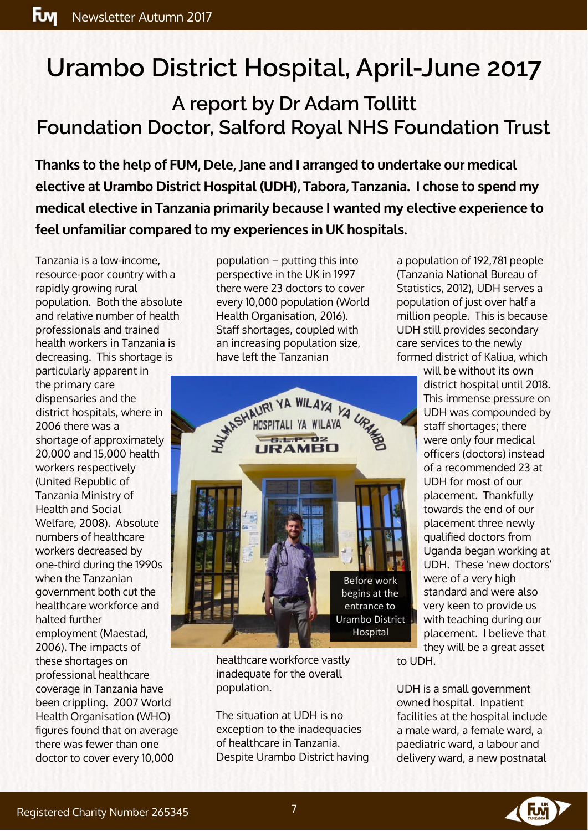# **Urambo District Hospital, April-June 2017**

## **A report by Dr Adam Tollitt Foundation Doctor, Salford Royal NHS Foundation Trust**

**Thanks to the help of FUM, Dele, Jane and I arranged to undertake our medical elective at Urambo District Hospital (UDH), Tabora, Tanzania. I chose to spend my medical elective in Tanzania primarily because I wanted my elective experience to feel unfamiliar compared to my experiences in UK hospitals.**

Tanzania is a low-income, resource-poor country with a rapidly growing rural population. Both the absolute and relative number of health professionals and trained health workers in Tanzania is decreasing. This shortage is particularly apparent in the primary care dispensaries and the district hospitals, where in 2006 there was a shortage of approximately 20,000 and 15,000 health workers respectively (United Republic of Tanzania Ministry of Health and Social Welfare, 2008). Absolute numbers of healthcare workers decreased by one-third during the 1990s when the Tanzanian government both cut the healthcare workforce and halted further employment (Maestad, 2006). The impacts of these shortages on professional healthcare coverage in Tanzania have been crippling. 2007 World Health Organisation (WHO) figures found that on average there was fewer than one doctor to cover every 10,000

population – putting this into perspective in the UK in 1997 there were 23 doctors to cover every 10,000 population (World Health Organisation, 2016). Staff shortages, coupled with an increasing population size, have left the Tanzanian



healthcare workforce vastly inadequate for the overall population.

The situation at UDH is no exception to the inadequacies of healthcare in Tanzania. Despite Urambo District having

a population of 192,781 people (Tanzania National Bureau of Statistics, 2012), UDH serves a population of just over half a million people. This is because UDH still provides secondary care services to the newly formed district of Kaliua, which

> will be without its own district hospital until 2018. This immense pressure on UDH was compounded by staff shortages; there were only four medical officers (doctors) instead of a recommended 23 at UDH for most of our placement. Thankfully towards the end of our placement three newly qualified doctors from Uganda began working at UDH. These 'new doctors' were of a very high standard and were also very keen to provide us with teaching during our placement. I believe that they will be a great asset

to UDH.

UDH is a small government owned hospital. Inpatient facilities at the hospital include a male ward, a female ward, a paediatric ward, a labour and delivery ward, a new postnatal

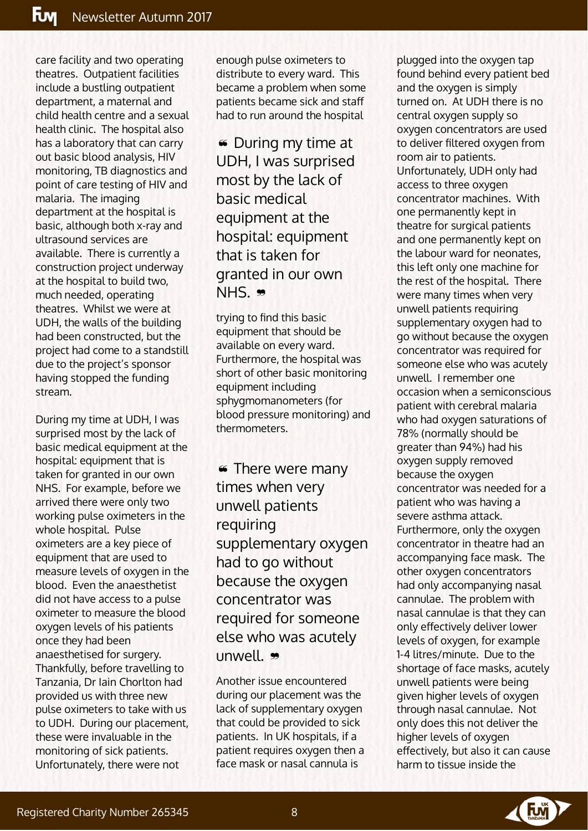care facility and two operating theatres. Outpatient facilities include a bustling outpatient department, a maternal and child health centre and a sexual health clinic. The hospital also has a laboratory that can carry out basic blood analysis, HIV monitoring, TB diagnostics and point of care testing of HIV and malaria. The imaging department at the hospital is basic, although both x-ray and ultrasound services are available. There is currently a construction project underway at the hospital to build two, much needed, operating theatres. Whilst we were at UDH, the walls of the building had been constructed, but the project had come to a standstill due to the project's sponsor having stopped the funding stream.

During my time at UDH, I was surprised most by the lack of basic medical equipment at the hospital: equipment that is taken for granted in our own NHS. For example, before we arrived there were only two working pulse oximeters in the whole hospital. Pulse oximeters are a key piece of equipment that are used to measure levels of oxygen in the blood. Even the anaesthetist did not have access to a pulse oximeter to measure the blood oxygen levels of his patients once they had been anaesthetised for surgery. Thankfully, before travelling to Tanzania, Dr Iain Chorlton had provided us with three new pulse oximeters to take with us to UDH. During our placement, these were invaluable in the monitoring of sick patients. Unfortunately, there were not

enough pulse oximeters to distribute to every ward. This became a problem when some patients became sick and staff had to run around the hospital

 During my time at UDH, I was surprised most by the lack of basic medical equipment at the hospital: equipment that is taken for granted in our own  $NHS.$ 

trying to find this basic equipment that should be available on every ward. Furthermore, the hospital was short of other basic monitoring equipment including sphygmomanometers (for blood pressure monitoring) and thermometers.

• There were many times when very unwell patients requiring supplementary oxygen had to go without because the oxygen concentrator was required for someone else who was acutely  $unwell.$   $\rightarrow$ 

Another issue encountered during our placement was the lack of supplementary oxygen that could be provided to sick patients. In UK hospitals, if a patient requires oxygen then a face mask or nasal cannula is

plugged into the oxygen tap found behind every patient bed and the oxygen is simply turned on. At UDH there is no central oxygen supply so oxygen concentrators are used to deliver filtered oxygen from room air to patients. Unfortunately, UDH only had access to three oxygen concentrator machines. With one permanently kept in theatre for surgical patients and one permanently kept on the labour ward for neonates, this left only one machine for the rest of the hospital. There were many times when very unwell patients requiring supplementary oxygen had to go without because the oxygen concentrator was required for someone else who was acutely unwell. I remember one occasion when a semiconscious patient with cerebral malaria who had oxygen saturations of 78% (normally should be greater than 94%) had his oxygen supply removed because the oxygen concentrator was needed for a patient who was having a severe asthma attack. Furthermore, only the oxygen concentrator in theatre had an accompanying face mask. The other oxygen concentrators had only accompanying nasal cannulae. The problem with nasal cannulae is that they can only effectively deliver lower levels of oxygen, for example 1-4 litres/minute. Due to the shortage of face masks, acutely unwell patients were being given higher levels of oxygen through nasal cannulae. Not only does this not deliver the higher levels of oxygen effectively, but also it can cause harm to tissue inside the

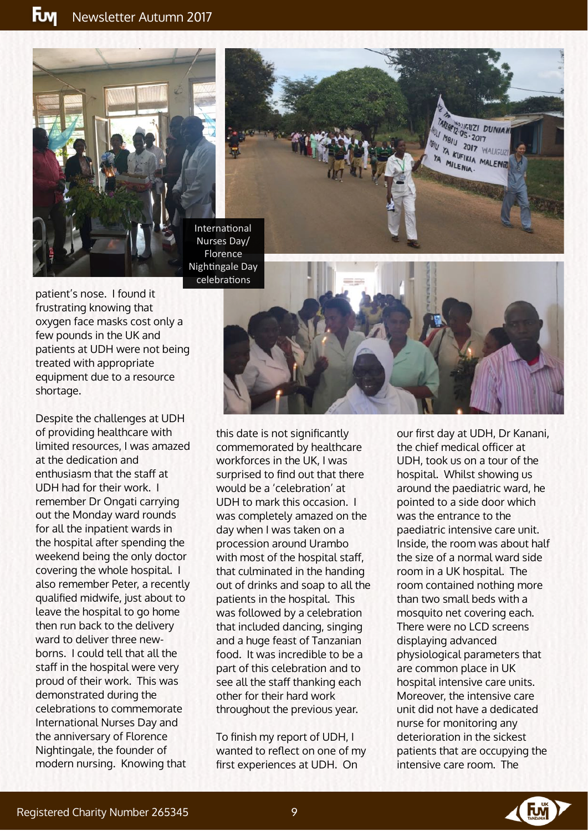



Nightingale Day celebrations

patient's nose. I found it frustrating knowing that oxygen face masks cost only a few pounds in the UK and patients at UDH were not being treated with appropriate equipment due to a resource shortage.

Despite the challenges at UDH of providing healthcare with limited resources, I was amazed at the dedication and enthusiasm that the staff at UDH had for their work. I remember Dr Ongati carrying out the Monday ward rounds for all the inpatient wards in the hospital after spending the weekend being the only doctor covering the whole hospital. I also remember Peter, a recently qualified midwife, just about to leave the hospital to go home then run back to the delivery ward to deliver three newborns. I could tell that all the staff in the hospital were very proud of their work. This was demonstrated during the celebrations to commemorate International Nurses Day and the anniversary of Florence Nightingale, the founder of modern nursing. Knowing that

this date is not significantly commemorated by healthcare workforces in the UK, I was surprised to find out that there would be a 'celebration' at UDH to mark this occasion. I was completely amazed on the day when I was taken on a procession around Urambo with most of the hospital staff, that culminated in the handing out of drinks and soap to all the patients in the hospital. This was followed by a celebration that included dancing, singing and a huge feast of Tanzanian food. It was incredible to be a part of this celebration and to see all the staff thanking each other for their hard work throughout the previous year.

To finish my report of UDH, I wanted to reflect on one of my first experiences at UDH. On

hospital. Whilst showing us around the paediatric ward, he pointed to a side door which was the entrance to the paediatric intensive care unit. Inside, the room was about half the size of a normal ward side room in a UK hospital. The room contained nothing more than two small beds with a mosquito net covering each. There were no LCD screens displaying advanced physiological parameters that are common place in UK hospital intensive care units. Moreover, the intensive care unit did not have a dedicated nurse for monitoring any deterioration in the sickest patients that are occupying the intensive care room. The



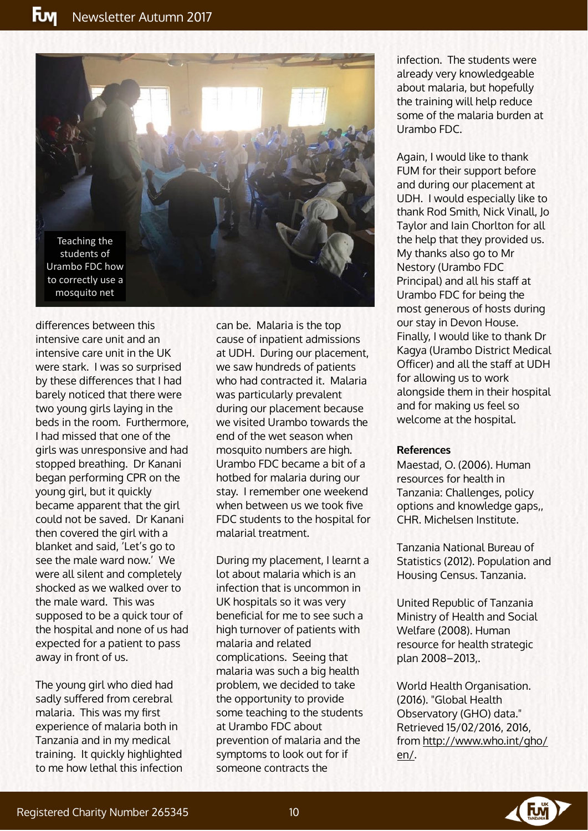

differences between this intensive care unit and an intensive care unit in the UK were stark. I was so surprised by these differences that I had barely noticed that there were two young girls laying in the beds in the room. Furthermore, I had missed that one of the girls was unresponsive and had stopped breathing. Dr Kanani began performing CPR on the young girl, but it quickly became apparent that the girl could not be saved. Dr Kanani then covered the girl with a blanket and said, 'Let's go to see the male ward now.' We were all silent and completely shocked as we walked over to the male ward. This was supposed to be a quick tour of the hospital and none of us had expected for a patient to pass away in front of us.

The young girl who died had sadly suffered from cerebral malaria. This was my first experience of malaria both in Tanzania and in my medical training. It quickly highlighted to me how lethal this infection can be. Malaria is the top cause of inpatient admissions at UDH. During our placement, we saw hundreds of patients who had contracted it. Malaria was particularly prevalent during our placement because we visited Urambo towards the end of the wet season when mosquito numbers are high. Urambo FDC became a bit of a hotbed for malaria during our stay. I remember one weekend when between us we took five FDC students to the hospital for malarial treatment.

During my placement, I learnt a lot about malaria which is an infection that is uncommon in UK hospitals so it was very beneficial for me to see such a high turnover of patients with malaria and related complications. Seeing that malaria was such a big health problem, we decided to take the opportunity to provide some teaching to the students at Urambo FDC about prevention of malaria and the symptoms to look out for if someone contracts the

infection. The students were already very knowledgeable about malaria, but hopefully the training will help reduce some of the malaria burden at Urambo FDC.

Again, I would like to thank FUM for their support before and during our placement at UDH. I would especially like to thank Rod Smith, Nick Vinall, Jo Taylor and Iain Chorlton for all the help that they provided us. My thanks also go to Mr Nestory (Urambo FDC Principal) and all his staff at Urambo FDC for being the most generous of hosts during our stay in Devon House. Finally, I would like to thank Dr Kagya (Urambo District Medical Officer) and all the staff at UDH for allowing us to work alongside them in their hospital and for making us feel so welcome at the hospital.

#### **References**

Maestad, O. (2006). Human resources for health in Tanzania: Challenges, policy options and knowledge gaps,, CHR. Michelsen Institute.

Tanzania National Bureau of Statistics (2012). Population and Housing Census. Tanzania.

United Republic of Tanzania Ministry of Health and Social Welfare (2008). Human resource for health strategic plan 2008–2013,.

World Health Organisation. (2016). "Global Health Observatory (GHO) data." Retrieved 15/02/2016, 2016, [from http://www.who.int/gho/](http://www.who.int/gho/en/) en/.